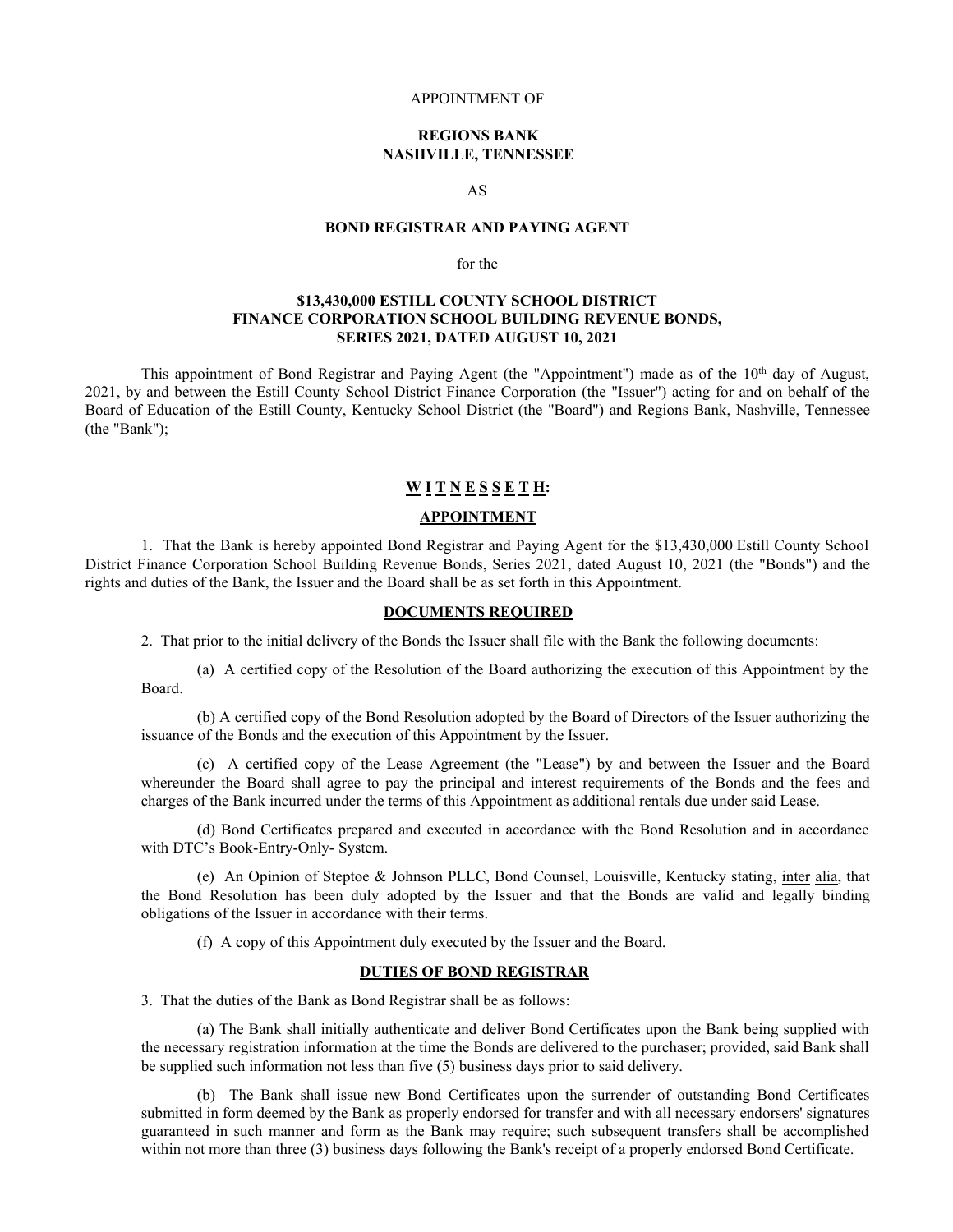#### APPOINTMENT OF

## **REGIONS BANK NASHVILLE, TENNESSEE**

AS

## **BOND REGISTRAR AND PAYING AGENT**

### for the

## **\$13,430,000 ESTILL COUNTY SCHOOL DISTRICT FINANCE CORPORATION SCHOOL BUILDING REVENUE BONDS, SERIES 2021, DATED AUGUST 10, 2021**

This appointment of Bond Registrar and Paying Agent (the "Appointment") made as of the 10<sup>th</sup> day of August, 2021, by and between the Estill County School District Finance Corporation (the "Issuer") acting for and on behalf of the Board of Education of the Estill County, Kentucky School District (the "Board") and Regions Bank, Nashville, Tennessee (the "Bank");

### **W I T N E S S E T H:**

#### **APPOINTMENT**

1. That the Bank is hereby appointed Bond Registrar and Paying Agent for the \$13,430,000 Estill County School District Finance Corporation School Building Revenue Bonds, Series 2021, dated August 10, 2021 (the "Bonds") and the rights and duties of the Bank, the Issuer and the Board shall be as set forth in this Appointment.

### **DOCUMENTS REQUIRED**

2. That prior to the initial delivery of the Bonds the Issuer shall file with the Bank the following documents:

(a) A certified copy of the Resolution of the Board authorizing the execution of this Appointment by the Board.

(b) A certified copy of the Bond Resolution adopted by the Board of Directors of the Issuer authorizing the issuance of the Bonds and the execution of this Appointment by the Issuer.

(c) A certified copy of the Lease Agreement (the "Lease") by and between the Issuer and the Board whereunder the Board shall agree to pay the principal and interest requirements of the Bonds and the fees and charges of the Bank incurred under the terms of this Appointment as additional rentals due under said Lease.

(d) Bond Certificates prepared and executed in accordance with the Bond Resolution and in accordance with DTC's Book-Entry-Only- System.

(e) An Opinion of Steptoe & Johnson PLLC, Bond Counsel, Louisville, Kentucky stating, inter alia, that the Bond Resolution has been duly adopted by the Issuer and that the Bonds are valid and legally binding obligations of the Issuer in accordance with their terms.

(f) A copy of this Appointment duly executed by the Issuer and the Board.

## **DUTIES OF BOND REGISTRAR**

3. That the duties of the Bank as Bond Registrar shall be as follows:

(a) The Bank shall initially authenticate and deliver Bond Certificates upon the Bank being supplied with the necessary registration information at the time the Bonds are delivered to the purchaser; provided, said Bank shall be supplied such information not less than five (5) business days prior to said delivery.

(b) The Bank shall issue new Bond Certificates upon the surrender of outstanding Bond Certificates submitted in form deemed by the Bank as properly endorsed for transfer and with all necessary endorsers' signatures guaranteed in such manner and form as the Bank may require; such subsequent transfers shall be accomplished within not more than three (3) business days following the Bank's receipt of a properly endorsed Bond Certificate.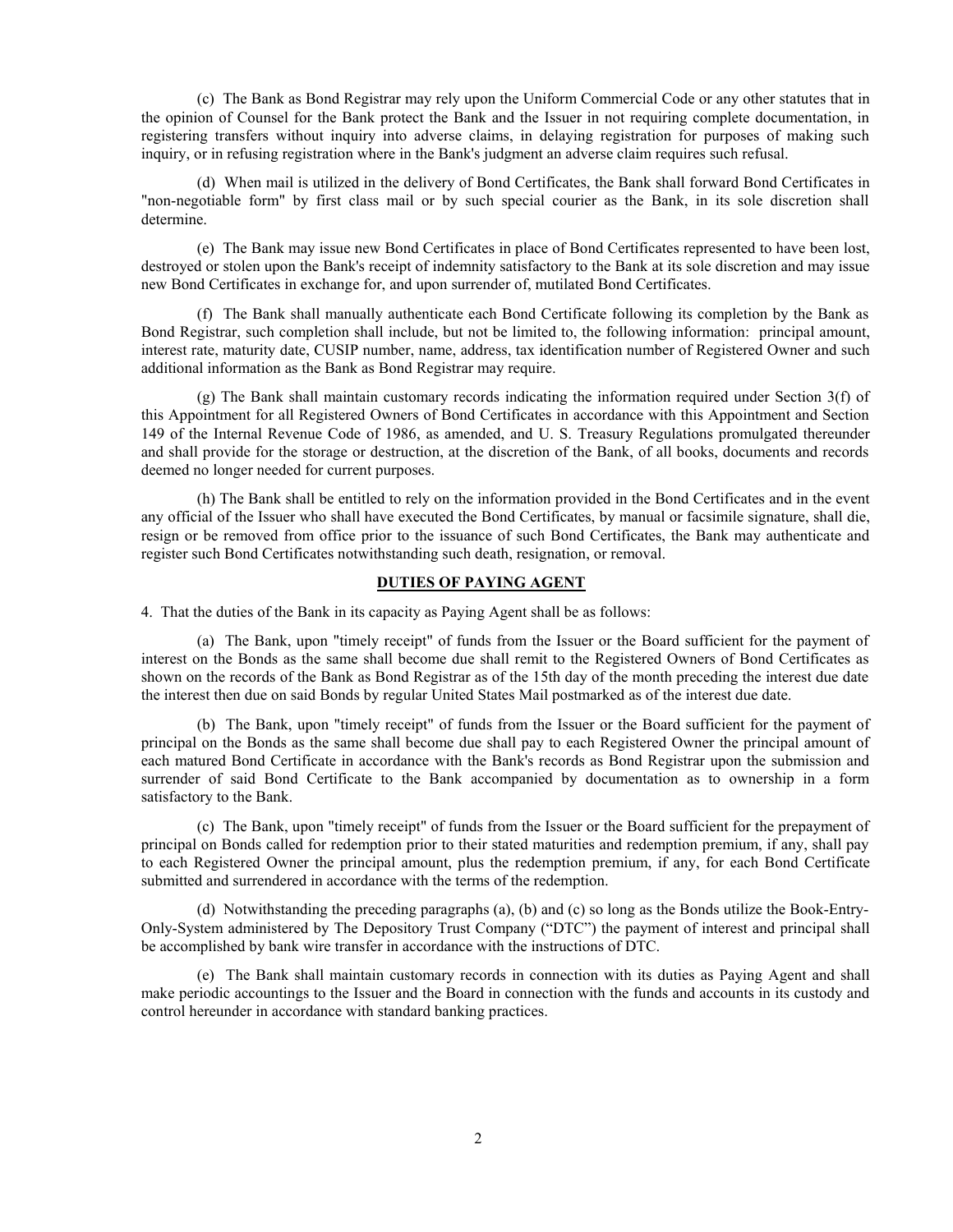(c) The Bank as Bond Registrar may rely upon the Uniform Commercial Code or any other statutes that in the opinion of Counsel for the Bank protect the Bank and the Issuer in not requiring complete documentation, in registering transfers without inquiry into adverse claims, in delaying registration for purposes of making such inquiry, or in refusing registration where in the Bank's judgment an adverse claim requires such refusal.

(d) When mail is utilized in the delivery of Bond Certificates, the Bank shall forward Bond Certificates in "non-negotiable form" by first class mail or by such special courier as the Bank, in its sole discretion shall determine.

(e) The Bank may issue new Bond Certificates in place of Bond Certificates represented to have been lost, destroyed or stolen upon the Bank's receipt of indemnity satisfactory to the Bank at its sole discretion and may issue new Bond Certificates in exchange for, and upon surrender of, mutilated Bond Certificates.

(f) The Bank shall manually authenticate each Bond Certificate following its completion by the Bank as Bond Registrar, such completion shall include, but not be limited to, the following information: principal amount, interest rate, maturity date, CUSIP number, name, address, tax identification number of Registered Owner and such additional information as the Bank as Bond Registrar may require.

(g) The Bank shall maintain customary records indicating the information required under Section 3(f) of this Appointment for all Registered Owners of Bond Certificates in accordance with this Appointment and Section 149 of the Internal Revenue Code of 1986, as amended, and U. S. Treasury Regulations promulgated thereunder and shall provide for the storage or destruction, at the discretion of the Bank, of all books, documents and records deemed no longer needed for current purposes.

(h) The Bank shall be entitled to rely on the information provided in the Bond Certificates and in the event any official of the Issuer who shall have executed the Bond Certificates, by manual or facsimile signature, shall die, resign or be removed from office prior to the issuance of such Bond Certificates, the Bank may authenticate and register such Bond Certificates notwithstanding such death, resignation, or removal.

## **DUTIES OF PAYING AGENT**

4. That the duties of the Bank in its capacity as Paying Agent shall be as follows:

(a) The Bank, upon "timely receipt" of funds from the Issuer or the Board sufficient for the payment of interest on the Bonds as the same shall become due shall remit to the Registered Owners of Bond Certificates as shown on the records of the Bank as Bond Registrar as of the 15th day of the month preceding the interest due date the interest then due on said Bonds by regular United States Mail postmarked as of the interest due date.

(b) The Bank, upon "timely receipt" of funds from the Issuer or the Board sufficient for the payment of principal on the Bonds as the same shall become due shall pay to each Registered Owner the principal amount of each matured Bond Certificate in accordance with the Bank's records as Bond Registrar upon the submission and surrender of said Bond Certificate to the Bank accompanied by documentation as to ownership in a form satisfactory to the Bank.

(c) The Bank, upon "timely receipt" of funds from the Issuer or the Board sufficient for the prepayment of principal on Bonds called for redemption prior to their stated maturities and redemption premium, if any, shall pay to each Registered Owner the principal amount, plus the redemption premium, if any, for each Bond Certificate submitted and surrendered in accordance with the terms of the redemption.

(d) Notwithstanding the preceding paragraphs (a), (b) and (c) so long as the Bonds utilize the Book-Entry-Only-System administered by The Depository Trust Company ("DTC") the payment of interest and principal shall be accomplished by bank wire transfer in accordance with the instructions of DTC.

(e) The Bank shall maintain customary records in connection with its duties as Paying Agent and shall make periodic accountings to the Issuer and the Board in connection with the funds and accounts in its custody and control hereunder in accordance with standard banking practices.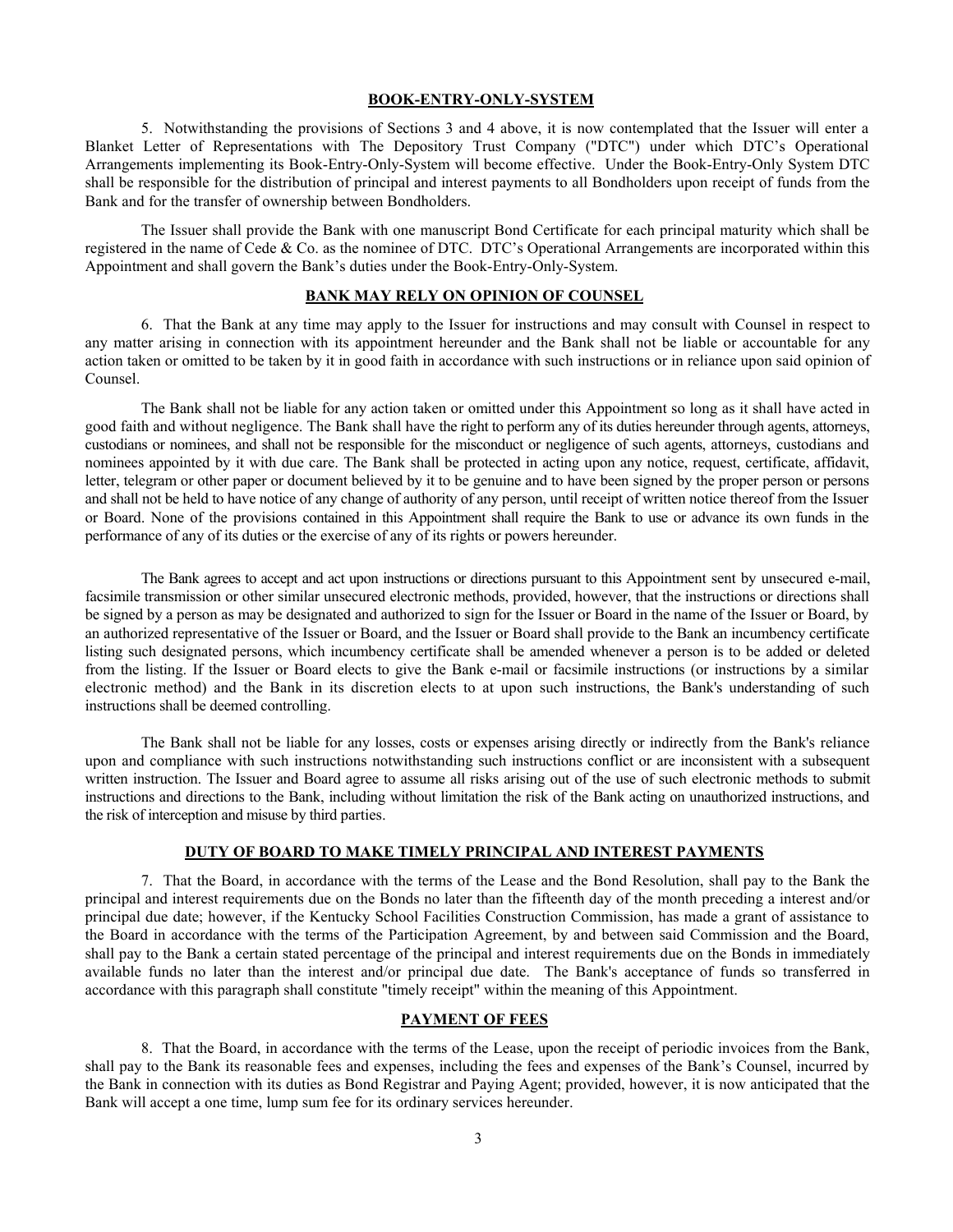#### **BOOK-ENTRY-ONLY-SYSTEM**

5. Notwithstanding the provisions of Sections 3 and 4 above, it is now contemplated that the Issuer will enter a Blanket Letter of Representations with The Depository Trust Company ("DTC") under which DTC's Operational Arrangements implementing its Book-Entry-Only-System will become effective. Under the Book-Entry-Only System DTC shall be responsible for the distribution of principal and interest payments to all Bondholders upon receipt of funds from the Bank and for the transfer of ownership between Bondholders.

The Issuer shall provide the Bank with one manuscript Bond Certificate for each principal maturity which shall be registered in the name of Cede & Co. as the nominee of DTC. DTC's Operational Arrangements are incorporated within this Appointment and shall govern the Bank's duties under the Book-Entry-Only-System.

## **BANK MAY RELY ON OPINION OF COUNSEL**

6. That the Bank at any time may apply to the Issuer for instructions and may consult with Counsel in respect to any matter arising in connection with its appointment hereunder and the Bank shall not be liable or accountable for any action taken or omitted to be taken by it in good faith in accordance with such instructions or in reliance upon said opinion of Counsel.

The Bank shall not be liable for any action taken or omitted under this Appointment so long as it shall have acted in good faith and without negligence. The Bank shall have the right to perform any of its duties hereunder through agents, attorneys, custodians or nominees, and shall not be responsible for the misconduct or negligence of such agents, attorneys, custodians and nominees appointed by it with due care. The Bank shall be protected in acting upon any notice, request, certificate, affidavit, letter, telegram or other paper or document believed by it to be genuine and to have been signed by the proper person or persons and shall not be held to have notice of any change of authority of any person, until receipt of written notice thereof from the Issuer or Board. None of the provisions contained in this Appointment shall require the Bank to use or advance its own funds in the performance of any of its duties or the exercise of any of its rights or powers hereunder.

The Bank agrees to accept and act upon instructions or directions pursuant to this Appointment sent by unsecured e-mail, facsimile transmission or other similar unsecured electronic methods, provided, however, that the instructions or directions shall be signed by a person as may be designated and authorized to sign for the Issuer or Board in the name of the Issuer or Board, by an authorized representative of the Issuer or Board, and the Issuer or Board shall provide to the Bank an incumbency certificate listing such designated persons, which incumbency certificate shall be amended whenever a person is to be added or deleted from the listing. If the Issuer or Board elects to give the Bank e-mail or facsimile instructions (or instructions by a similar electronic method) and the Bank in its discretion elects to at upon such instructions, the Bank's understanding of such instructions shall be deemed controlling.

The Bank shall not be liable for any losses, costs or expenses arising directly or indirectly from the Bank's reliance upon and compliance with such instructions notwithstanding such instructions conflict or are inconsistent with a subsequent written instruction. The Issuer and Board agree to assume all risks arising out of the use of such electronic methods to submit instructions and directions to the Bank, including without limitation the risk of the Bank acting on unauthorized instructions, and the risk of interception and misuse by third parties.

### **DUTY OF BOARD TO MAKE TIMELY PRINCIPAL AND INTEREST PAYMENTS**

7. That the Board, in accordance with the terms of the Lease and the Bond Resolution, shall pay to the Bank the principal and interest requirements due on the Bonds no later than the fifteenth day of the month preceding a interest and/or principal due date; however, if the Kentucky School Facilities Construction Commission, has made a grant of assistance to the Board in accordance with the terms of the Participation Agreement, by and between said Commission and the Board, shall pay to the Bank a certain stated percentage of the principal and interest requirements due on the Bonds in immediately available funds no later than the interest and/or principal due date. The Bank's acceptance of funds so transferred in accordance with this paragraph shall constitute "timely receipt" within the meaning of this Appointment.

## **PAYMENT OF FEES**

8. That the Board, in accordance with the terms of the Lease, upon the receipt of periodic invoices from the Bank, shall pay to the Bank its reasonable fees and expenses, including the fees and expenses of the Bank's Counsel, incurred by the Bank in connection with its duties as Bond Registrar and Paying Agent; provided, however, it is now anticipated that the Bank will accept a one time, lump sum fee for its ordinary services hereunder.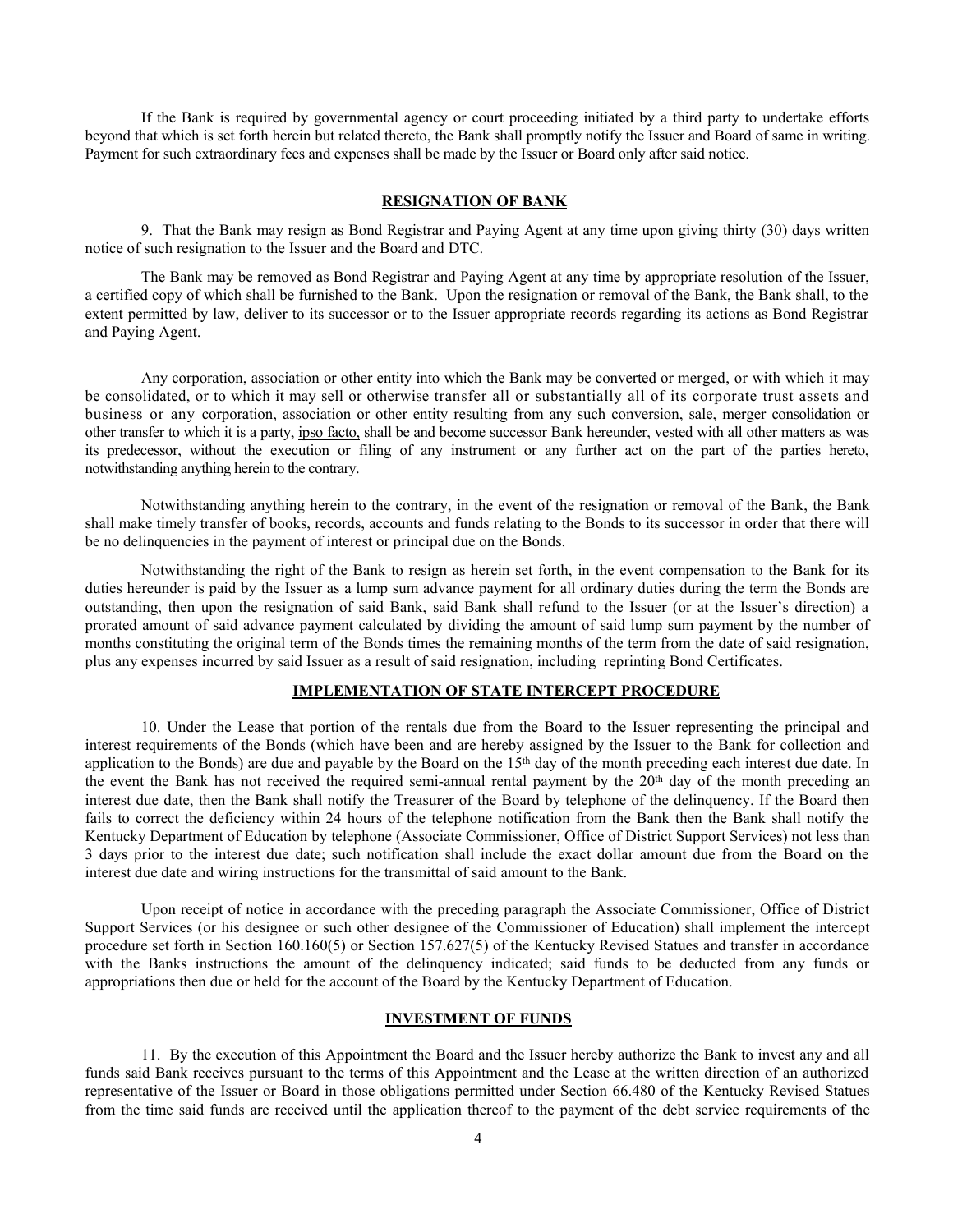If the Bank is required by governmental agency or court proceeding initiated by a third party to undertake efforts beyond that which is set forth herein but related thereto, the Bank shall promptly notify the Issuer and Board of same in writing. Payment for such extraordinary fees and expenses shall be made by the Issuer or Board only after said notice.

### **RESIGNATION OF BANK**

9. That the Bank may resign as Bond Registrar and Paying Agent at any time upon giving thirty (30) days written notice of such resignation to the Issuer and the Board and DTC.

The Bank may be removed as Bond Registrar and Paying Agent at any time by appropriate resolution of the Issuer, a certified copy of which shall be furnished to the Bank. Upon the resignation or removal of the Bank, the Bank shall, to the extent permitted by law, deliver to its successor or to the Issuer appropriate records regarding its actions as Bond Registrar and Paying Agent.

Any corporation, association or other entity into which the Bank may be converted or merged, or with which it may be consolidated, or to which it may sell or otherwise transfer all or substantially all of its corporate trust assets and business or any corporation, association or other entity resulting from any such conversion, sale, merger consolidation or other transfer to which it is a party, ipso facto, shall be and become successor Bank hereunder, vested with all other matters as was its predecessor, without the execution or filing of any instrument or any further act on the part of the parties hereto, notwithstanding anything herein to the contrary.

Notwithstanding anything herein to the contrary, in the event of the resignation or removal of the Bank, the Bank shall make timely transfer of books, records, accounts and funds relating to the Bonds to its successor in order that there will be no delinquencies in the payment of interest or principal due on the Bonds.

Notwithstanding the right of the Bank to resign as herein set forth, in the event compensation to the Bank for its duties hereunder is paid by the Issuer as a lump sum advance payment for all ordinary duties during the term the Bonds are outstanding, then upon the resignation of said Bank, said Bank shall refund to the Issuer (or at the Issuer's direction) a prorated amount of said advance payment calculated by dividing the amount of said lump sum payment by the number of months constituting the original term of the Bonds times the remaining months of the term from the date of said resignation, plus any expenses incurred by said Issuer as a result of said resignation, including reprinting Bond Certificates.

## **IMPLEMENTATION OF STATE INTERCEPT PROCEDURE**

10. Under the Lease that portion of the rentals due from the Board to the Issuer representing the principal and interest requirements of the Bonds (which have been and are hereby assigned by the Issuer to the Bank for collection and application to the Bonds) are due and payable by the Board on the  $15<sup>th</sup>$  day of the month preceding each interest due date. In the event the Bank has not received the required semi-annual rental payment by the  $20<sup>th</sup>$  day of the month preceding an interest due date, then the Bank shall notify the Treasurer of the Board by telephone of the delinquency. If the Board then fails to correct the deficiency within 24 hours of the telephone notification from the Bank then the Bank shall notify the Kentucky Department of Education by telephone (Associate Commissioner, Office of District Support Services) not less than 3 days prior to the interest due date; such notification shall include the exact dollar amount due from the Board on the interest due date and wiring instructions for the transmittal of said amount to the Bank.

Upon receipt of notice in accordance with the preceding paragraph the Associate Commissioner, Office of District Support Services (or his designee or such other designee of the Commissioner of Education) shall implement the intercept procedure set forth in Section 160.160(5) or Section 157.627(5) of the Kentucky Revised Statues and transfer in accordance with the Banks instructions the amount of the delinquency indicated; said funds to be deducted from any funds or appropriations then due or held for the account of the Board by the Kentucky Department of Education.

### **INVESTMENT OF FUNDS**

11. By the execution of this Appointment the Board and the Issuer hereby authorize the Bank to invest any and all funds said Bank receives pursuant to the terms of this Appointment and the Lease at the written direction of an authorized representative of the Issuer or Board in those obligations permitted under Section 66.480 of the Kentucky Revised Statues from the time said funds are received until the application thereof to the payment of the debt service requirements of the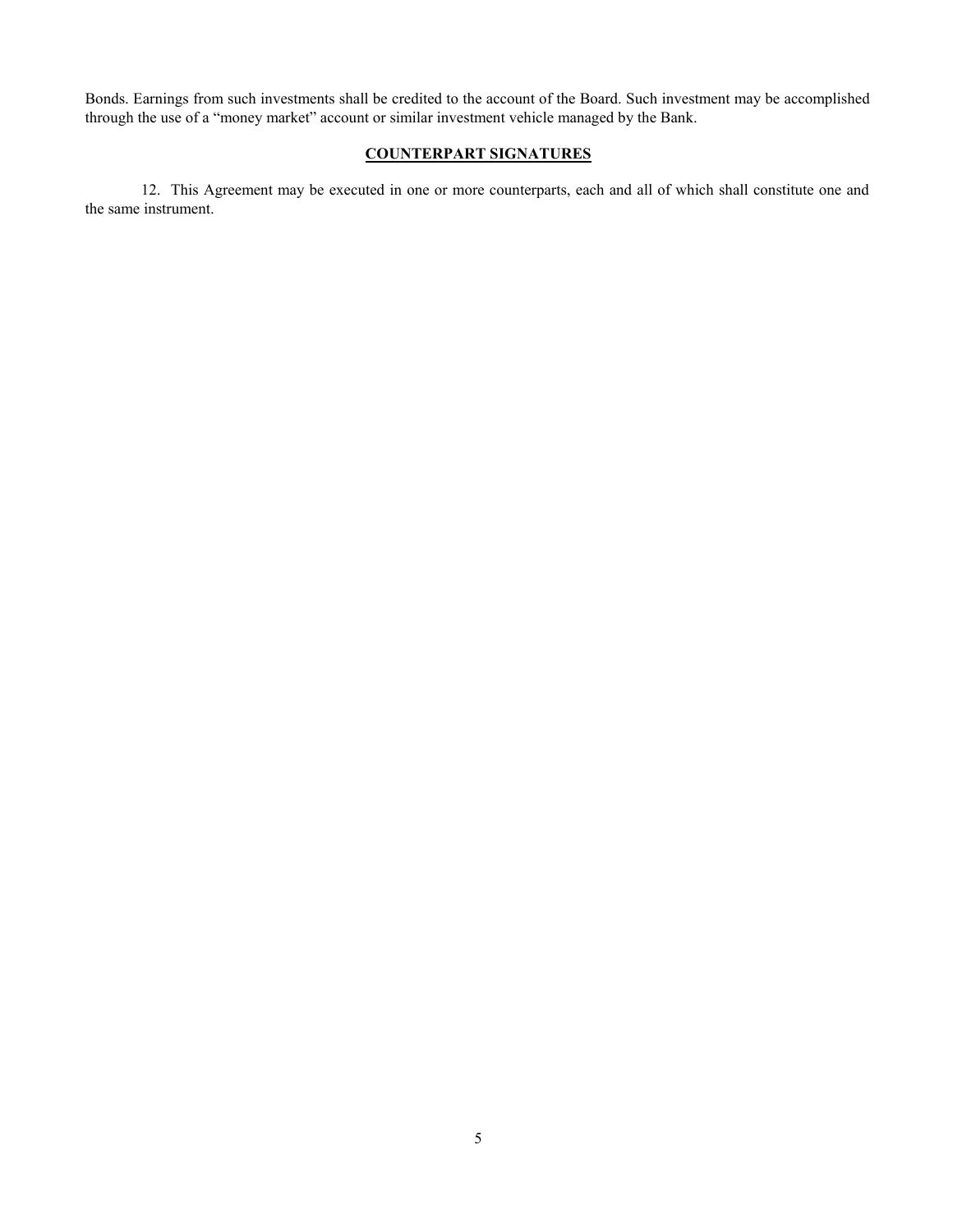Bonds. Earnings from such investments shall be credited to the account of the Board. Such investment may be accomplished through the use of a "money market" account or similar investment vehicle managed by the Bank.

## **COUNTERPART SIGNATURES**

12. This Agreement may be executed in one or more counterparts, each and all of which shall constitute one and the same instrument.